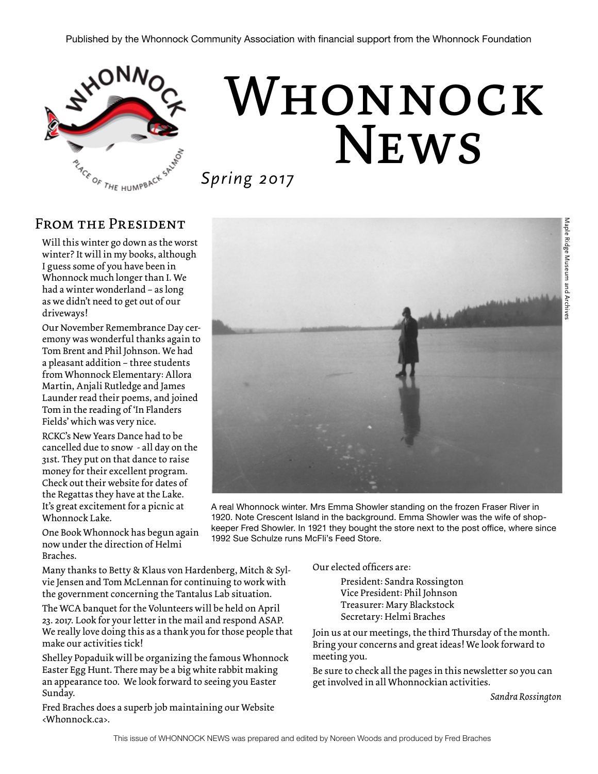

# Whonnock **NEWS**

*Spring 2017*

### FROM THE PRESIDENT

Will this winter go down as the worst winter? It will in my books, although I guess some of you have been in Whonnock much longer than I. We had a winter wonderland – as long as we didn't need to get out of our driveways!

Our November Remembrance Day ceremony was wonderful thanks again to Tom Brent and Phil Johnson. We had a pleasant addition – three students from Whonnock Elementary: Allora Martin, Anjali Rutledge and James Launder read their poems, and joined Tom in the reading of 'In Flanders Fields' which was very nice.

RCKC's New Years Dance had to be cancelled due to snow - all day on the 31st. They put on that dance to raise money for their excellent program. Check out their website for dates of the Regattas they have at the Lake. It's great excitement for a picnic at Whonnock Lake.

A real Whonnock winter. Mrs Emma Showler standing on the frozen Fraser River in 1920. Note Crescent Island in the background. Emma Showler was the wife of shopkeeper Fred Showler. In 1921 they bought the store next to the post office, where since 1992 Sue Schulze runs McFli's Feed Store.

One Book Whonnock has begun again now under the direction of Helmi Braches.

Many thanks to Betty & Klaus von Hardenberg, Mitch & Sylvie Jensen and Tom McLennan for continuing to work with the government concerning the Tantalus Lab situation.

The WCA banquet for the Volunteers will be held on April 23. 2017. Look for your letter in the mail and respond ASAP. We really love doing this as a thank you for those people that make our activities tick!

Shelley Popaduik will be organizing the famous Whonnock Easter Egg Hunt. There may be a big white rabbit making an appearance too. We look forward to seeing you Easter Sunday.

Fred Braches does a superb job maintaining our Website <Whonnock.ca>.

Our elected officers are:

President: Sandra Rossington Vice President: Phil Johnson Treasurer: Mary Blackstock Secretary: Helmi Braches

Join us at our meetings, the third Thursday of the month. Bring your concerns and great ideas! We look forward to meeting you.

Be sure to check all the pages in this newsletter so you can get involved in all Whonnockian activities.

*Sandra Rossington*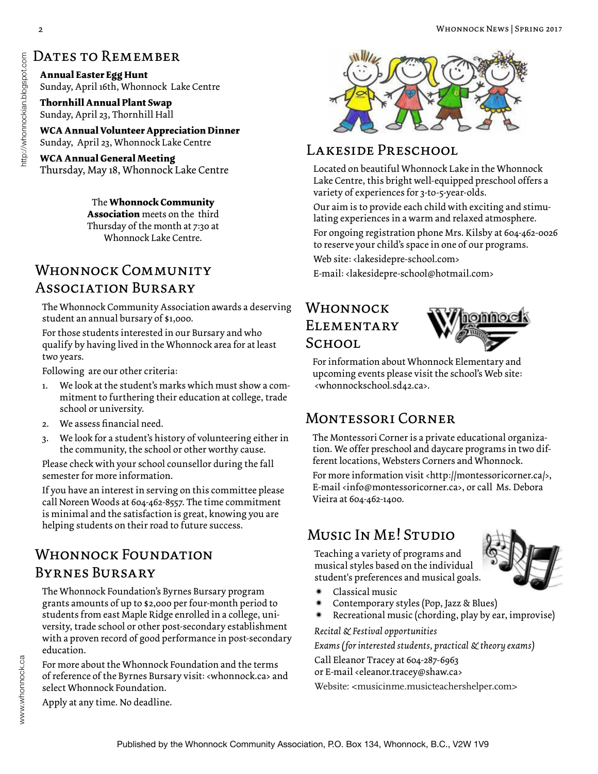# http://whonnockian.blogspot.com www.whonnock.ca http://whonnockian.blogspot.com

### DATES TO REMEMBER

**Annual Easter Egg Hunt**  Sunday, April 16th, Whonnock Lake Centre

**Thornhill Annual Plant Swap**  Sunday, April 23, Thornhill Hall

**WCA Annual Volunteer Appreciation Dinner**  Sunday, April 23, Whonnock Lake Centre

**WCA Annual General Meeting** Thursday, May 18, Whonnock Lake Centre

> The **Whonnock Community Association** meets on the third Thursday of the month at 7:30 at Whonnock Lake Centre.

### WHONNOCK COMMUNITY E-mail: <lakesidepre-school@hotmail.com> Association Bursary

The Whonnock Community Association awards a deserving student an annual bursary of \$1,000.

For those students interested in our Bursary and who qualify by having lived in the Whonnock area for at least two years.

Following are our other criteria:

- 1. We look at the student's marks which must show a commitment to furthering their education at college, trade school or university.
- 2. We assess financial need.
- 3. We look for a student's history of volunteering either in the community, the school or other worthy cause.

Please check with your school counsellor during the fall semester for more information.

If you have an interest in serving on this committee please call Noreen Woods at 604-462-8557. The time commitment is minimal and the satisfaction is great, knowing you are helping students on their road to future success.<br>MUSIC IN ME<sup>I</sup> STUDIO

### WHONNOCK FOUNDATION Byrnes Bursary

The Whonnock Foundation's Byrnes Bursary program grants amounts of up to \$2,000 per four-month period to students from east Maple Ridge enrolled in a college, university, trade school or other post-secondary establishment with a proven record of good performance in post-secondary education.

For more about the Whonnock Foundation and the terms of reference of the Byrnes Bursary visit: <whonnock.ca> and select Whonnock Foundation.

### LAKESIDE PRESCHOOL

Located on beautiful Whonnock Lake in the Whonnock Lake Centre, this bright well-equipped preschool offers a variety of experiences for 3-to-5-year-olds.

Our aim is to provide each child with exciting and stimulating experiences in a warm and relaxed atmosphere.

For ongoing registration phone Mrs. Kilsby at 604-462-0026 to reserve your child's space in one of our programs.

Web site: <lakesidepre-school.com>

### Whonnock **ELEMENTARY** School



For information about Whonnock Elementary and upcoming events please visit the school's Web site: <whonnockschool.sd42.ca>.

### Montessori Corner

The Montessori Corner is a private educational organization. We offer preschool and daycare programs in two different locations, Websters Corners and Whonnock.

For more information visit <http://montessoricorner.ca/>, E-mail <info@montessoricorner.ca>, or call Ms. Debora Vieira at 604-462-1400.

Teaching a variety of programs and musical styles based on the individual student's preferences and musical goals.



- \* Classical music
- Contemporary styles (Pop, Jazz & Blues)
- Recreational music (chording, play by ear, improvise)

*Recital & Festival opportunities*

*Exams (for interested students, practical & theory exams)*

Call Eleanor Tracey at 604-287-6963

or E-mail <eleanor.tracey@shaw.ca>

Website: <musicinme.musicteachershelper.com>

Apply at any time. No deadline.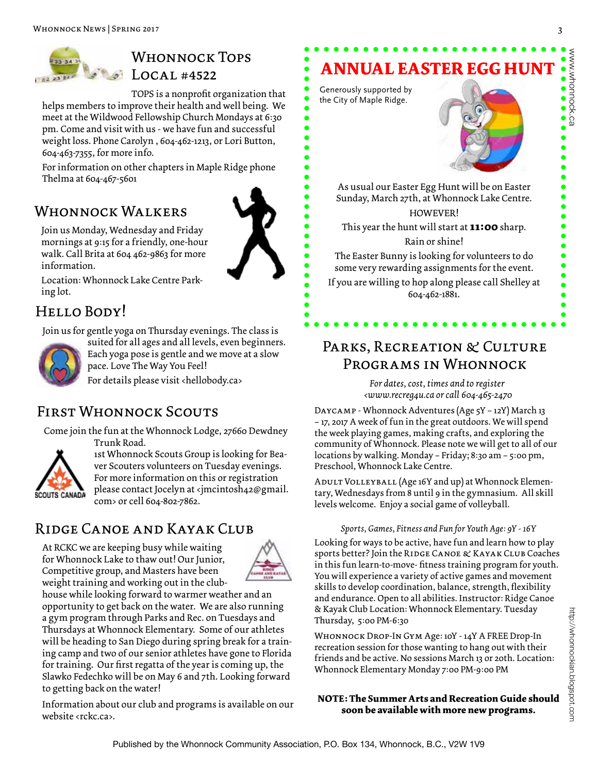

### Whonnock Tops Local #4522

TOPS is a nonprofit organization that helps members to improve their health and well being. We meet at the Wildwood Fellowship Church Mondays at 6:30 pm. Come and visit with us - we have fun and successful weight loss. Phone Carolyn , 604-462-1213, or Lori Button, 604-463-7355, for more info.

For information on other chapters in Maple Ridge phone Thelma at 604-467-5601

### WHONNOCK WALKERS



Join us Monday, Wednesday and Friday mornings at 9:15 for a friendly, one-hour walk. Call Brita at 604 462-9863 for more information.

Location: Whonnock Lake Centre Parking lot.

### Hello Body!

Join us for gentle yoga on Thursday evenings. The class is

suited for all ages and all levels, even beginners. Each yoga pose is gentle and we move at a slow pace. Love The Way You Feel!

For details please visit <hellobody.ca>

### First Whonnock Scouts

Come join the fun at the Whonnock Lodge, 27660 Dewdney Trunk Road.



1st Whonnock Scouts Group is looking for Beaver Scouters volunteers on Tuesday evenings. For more information on this or registration please contact Jocelyn at <jmcintosh42@gmail. com> or cell 604-802-7862.

### Ridge Canoe and Kayak Club

At RCKC we are keeping busy while waiting for Whonnock Lake to thaw out! Our Junior, Competitive group, and Masters have been weight training and working out in the club-



house while looking forward to warmer weather and an opportunity to get back on the water. We are also running a gym program through Parks and Rec. on Tuesdays and Thursdays at Whonnock Elementary. Some of our athletes will be heading to San Diego during spring break for a training camp and two of our senior athletes have gone to Florida for training. Our first regatta of the year is coming up, the Slawko Fedechko will be on May 6 and 7th. Looking forward to getting back on the water!

Information about our club and programs is available on our website <rckc.ca>.

# **ANNUAL EASTER EGG HUNT**

the City of Maple Ridge.

Generously supported by

As usual our Easter Egg Hunt will be on Easter Sunday, March 27th, at Whonnock Lake Centre. HOWEVER! This year the hunt will start at **11:00** sharp.

Rain or shine!

The Easter Bunny is looking for volunteers to do some very rewarding assignments for the event.

If you are willing to hop along please call Shelley at 604-462-1881.

### PARKS, RECREATION & CULTURE Programs in Whonnock

*For dates, cost, times and to register <www.recreg4u.ca or call 604-465-2470*

Daycamp - Whonnock Adventures (Age 5Y – 12Y) March 13 – 17, 2017 A week of fun in the great outdoors. We will spend the week playing games, making crafts, and exploring the community of Whonnock. Please note we will get to all of our locations by walking. Monday – Friday; 8:30 am – 5:00 pm, Preschool, Whonnock Lake Centre.

ADULT VOLLEYBALL (Age 16Y and up) at Whonnock Elementary, Wednesdays from 8 until 9 in the gymnasium. All skill levels welcome. Enjoy a social game of volleyball.

### *Sports, Games, Fitness and Fun for Youth Age: 9Y - 16Y*

Looking for ways to be active, have fun and learn how to play sports better? Join the Ridge Canoe & Kayak Club Coaches in this fun learn-to-move- fitness training program for youth. You will experience a variety of active games and movement skills to develop coordination, balance, strength, flexibility and endurance. Open to all abilities. Instructor: Ridge Canoe & Kayak Club Location: Whonnock Elementary. Tuesday Thursday, 5:00 PM-6:30

Whonnock Drop-In Gym Age: 10Y - 14Y A FREE Drop-In recreation session for those wanting to hang out with their friends and be active. No sessions March 13 or 20th. Location: Whonnock Elementary Monday 7:00 PM-9:00 PM

**NOTE: The Summer Arts and Recreation Guide should soon be available with more new programs.** 

www.whonnock.ca

www.whonnock.ca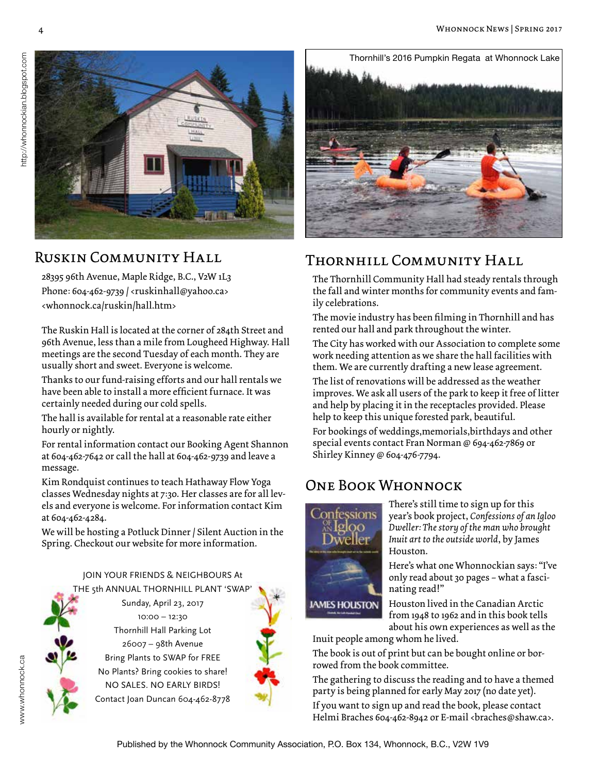

### Ruskin Community Hall

28395 96th Avenue, Maple Ridge, B.C., V2W 1L3 Phone: 604-462-9739 / <ruskinhall@yahoo.ca> <whonnock.ca/ruskin/hall.htm>

The Ruskin Hall is located at the corner of 284th Street and 96th Avenue, less than a mile from Lougheed Highway. Hall meetings are the second Tuesday of each month. They are usually short and sweet. Everyone is welcome.

Thanks to our fund-raising efforts and our hall rentals we have been able to install a more efficient furnace. It was certainly needed during our cold spells.

The hall is available for rental at a reasonable rate either hourly or nightly.

For rental information contact our Booking Agent Shannon at 604-462-7642 or call the hall at 604-462-9739 and leave a message.

Kim Rondquist continues to teach Hathaway Flow Yoga classes Wednesday nights at 7:30. Her classes are for all levels and everyone is welcome. For information contact Kim at 604-462-4284.

We will be hosting a Potluck Dinner / Silent Auction in the Spring. Checkout our website for more information.

### JOIN YOUR FRIENDS & NEIGHBOURS At THE 5th ANNUAL THORNHILL PLANT 'SWAP

Sunday, April 23, 2017 10:00 – 12:30 Thornhill Hall Parking Lot 26007 – 98th Avenue Bring Plants to SWAP for FREE No Plants? Bring cookies to share! NO SALES. NO EARLY BIRDS! Contact Joan Duncan 604-462-8778



### Thornhill Community Hall

The Thornhill Community Hall had steady rentals through the fall and winter months for community events and family celebrations.

The movie industry has been filming in Thornhill and has rented our hall and park throughout the winter.

The City has worked with our Association to complete some work needing attention as we share the hall facilities with them. We are currently drafting a new lease agreement.

The list of renovations will be addressed as the weather improves. We ask all users of the park to keep it free of litter and help by placing it in the receptacles provided. Please help to keep this unique forested park, beautiful.

For bookings of weddings,memorials,birthdays and other special events contact Fran Norman @ 694-462-7869 or Shirley Kinney @ 604-476-7794.

### One Book Whonnock



There's still time to sign up for this year's book project, *Confessions of an Igloo Dweller: The story of the man who brought Inuit art to the outside world*, by James Houston.

Here's what one Whonnockian says: "I've only read about 30 pages – what a fascinating read!"

Houston lived in the Canadian Arctic from 1948 to 1962 and in this book tells about his own experiences as well as the

Inuit people among whom he lived.

The book is out of print but can be bought online or borrowed from the book committee.

The gathering to discuss the reading and to have a themed party is being planned for early May 2017 (no date yet).

If you want to sign up and read the book, please contact Helmi Braches 604-462-8942 or E-mail <br />braches@shaw.ca>.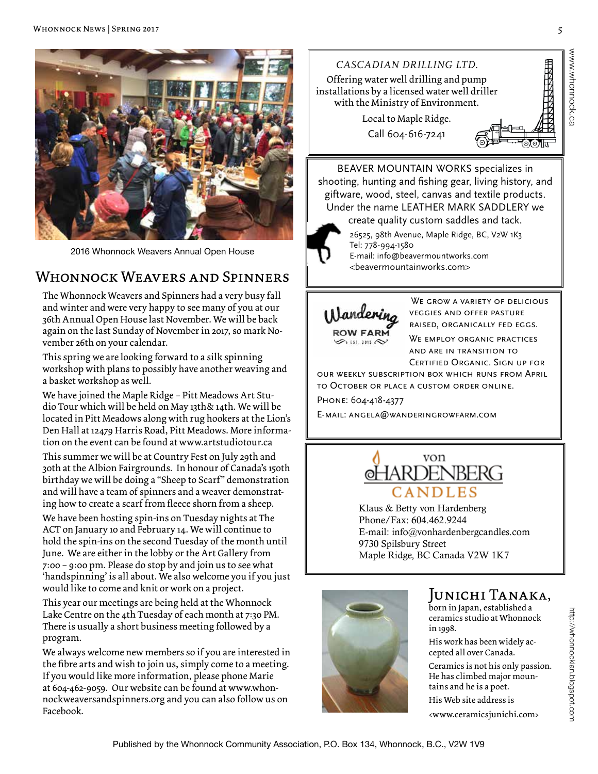

2016 Whonnock Weavers Annual Open House

### WHONNOCK WEAVERS AND SPINNERS

The Whonnock Weavers and Spinners had a very busy fall and winter and were very happy to see many of you at our 36th Annual Open House last November. We will be back again on the last Sunday of November in 2017, so mark November 26th on your calendar.

This spring we are looking forward to a silk spinning workshop with plans to possibly have another weaving and a basket workshop as well.

We have joined the Maple Ridge – Pitt Meadows Art Studio Tour which will be held on May 13th& 14th. We will be located in Pitt Meadows along with rug hookers at the Lion's Den Hall at 12479 Harris Road, Pitt Meadows. More information on the event can be found at www.artstudiotour.ca This summer we will be at Country Fest on July 29th and 30th at the Albion Fairgrounds. In honour of Canada's 150th birthday we will be doing a "Sheep to Scarf" demonstration and will have a team of spinners and a weaver demonstrating how to create a scarf from fleece shorn from a sheep.

We have been hosting spin-ins on Tuesday nights at The ACT on January 10 and February 14. We will continue to hold the spin-ins on the second Tuesday of the month until June. We are either in the lobby or the Art Gallery from 7:00 – 9:00 pm. Please do stop by and join us to see what 'handspinning' is all about. We also welcome you if you just would like to come and knit or work on a project.

This year our meetings are being held at the Whonnock Lake Centre on the 4th Tuesday of each month at 7:30 PM. There is usually a short business meeting followed by a program.

We always welcome new members so if you are interested in the fibre arts and wish to join us, simply come to a meeting. If you would like more information, please phone Marie at 604-462-9059. Our website can be found at www.whonnockweaversandspinners.org and you can also follow us on Facebook.



BEAVER MOUNTAIN WORKS specializes in shooting, hunting and fishing gear, living history, and giftware, wood, steel, canvas and textile products. Under the name LEATHER MARK SADDLERY we

create quality custom saddles and tack.

Tel: 778-994-1580

26525, 98th Avenue, Maple Ridge, BC, V2W 1K3 E-mail: info@beavermountworks.com

<beavermountainworks.com>



WE GROW A VARIETY OF DELICIOUS veggies and offer pasture raised, organically fed eggs. WE EMPLOY ORGANIC PRACTICES and are in transition to Certified Organic. Sign up for

our weekly subscription box which runs from April to October or place a custom order online. Phone: 604-418-4377

E-mail: angela@wanderingrowfarm.com



Klaus & Betty von Hardenberg Phone/Fax: 604.462.9244 E-mail: info@vonhardenbergcandles.com 9730 Spilsbury Street Maple Ridge, BC Canada V2W 1K7



### Junichi Tanaka,

born in Japan, established a ceramics studio at Whonnock in 1998.

His work has been widely accepted all over Canada.

Ceramics is not his only passion. He has climbed major mountains and he is a poet. His Web site address is

<www.ceramicsjunichi.com>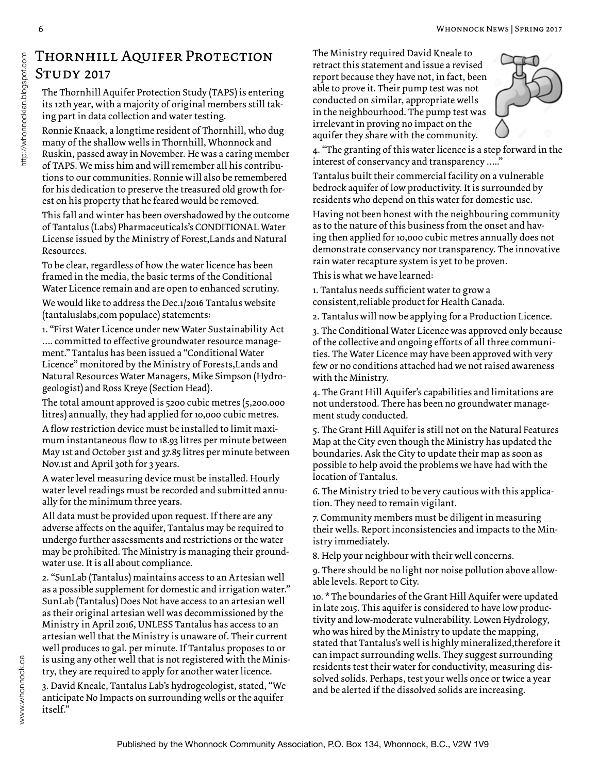### Thornhill Aquifer Protection Study 2017

The Thornhill Aquifer Protection Study (TAPS) is entering its 12th year, with a majority of original members still taking part in data collection and water testing.

Ronnie Knaack, a longtime resident of Thornhill, who dug many of the shallow wells in Thornhill, Whonnock and Ruskin, passed away in November. He was a caring member of TAPS. We miss him and will remember all his contributions to our communities. Ronnie will also be remembered for his dedication to preserve the treasured old growth forest on his property that he feared would be removed.

This fall and winter has been overshadowed by the outcome of Tantalus (Labs) Pharmaceuticals's CONDITIONAL Water License issued by the Ministry of Forest,Lands and Natural Resources.

To be clear, regardless of how the water licence has been framed in the media, the basic terms of the Conditional Water Licence remain and are open to enhanced scrutiny.

We would like to address the Dec.1/2016 Tantalus website (tantaluslabs,com populace) statements:

1. "First Water Licence under new Water Sustainability Act …. committed to effective groundwater resource management." Tantalus has been issued a "Conditional Water Licence" monitored by the Ministry of Forests,Lands and Natural Resources Water Managers, Mike Simpson (Hydrogeologist) and Ross Kreye (Section Head).

The total amount approved is 5200 cubic metres (5,200.000 litres) annually, they had applied for 10,000 cubic metres.

A flow restriction device must be installed to limit maximum instantaneous flow to 18.93 litres per minute between May 1st and October 31st and 37.85 litres per minute between Nov.1st and April 30th for 3 years.

A water level measuring device must be installed. Hourly water level readings must be recorded and submitted annually for the minimum three years.

All data must be provided upon request. If there are any adverse affects on the aquifer, Tantalus may be required to undergo further assessments and restrictions or the water may be prohibited. The Ministry is managing their groundwater use. It is all about compliance.

2. "SunLab (Tantalus) maintains access to an Artesian well as a possible supplement for domestic and irrigation water." SunLab (Tantalus) Does Not have access to an artesian well as their original artesian well was decommissioned by the Ministry in April 2016, UNLESS Tantalus has access to an artesian well that the Ministry is unaware of. Their current well produces 10 gal. per minute. If Tantalus proposes to or is using any other well that is not registered with the Ministry, they are required to apply for another water licence.

3. David Kneale, Tantalus Lab's hydrogeologist, stated, "We anticipate No Impacts on surrounding wells or the aquifer itself."

The Ministry required David Kneale to retract this statement and issue a revised report because they have not, in fact, been able to prove it. Their pump test was not conducted on similar, appropriate wells in the neighbourhood. The pump test was irrelevant in proving no impact on the aquifer they share with the community.



4. "The granting of this water licence is a step forward in the interest of conservancy and transparency ….."

Tantalus built their commercial facility on a vulnerable bedrock aquifer of low productivity. It is surrounded by residents who depend on this water for domestic use.

Having not been honest with the neighbouring community as to the nature of this business from the onset and having then applied for 10,000 cubic metres annually does not demonstrate conservancy nor transparency. The innovative rain water recapture system is yet to be proven.

This is what we have learned:

1. Tantalus needs sufficient water to grow a consistent,reliable product for Health Canada.

2. Tantalus will now be applying for a Production Licence.

3. The Conditional Water Licence was approved only because of the collective and ongoing efforts of all three communities. The Water Licence may have been approved with very few or no conditions attached had we not raised awareness with the Ministry.

4. The Grant Hill Aquifer's capabilities and limitations are not understood. There has been no groundwater management study conducted.

5. The Grant Hill Aquifer is still not on the Natural Features Map at the City even though the Ministry has updated the boundaries. Ask the City to update their map as soon as possible to help avoid the problems we have had with the location of Tantalus.

6. The Ministry tried to be very cautious with this application. They need to remain vigilant.

7. Community members must be diligent in measuring their wells. Report inconsistencies and impacts to the Ministry immediately.

8. Help your neighbour with their well concerns.

9. There should be no light nor noise pollution above allowable levels. Report to City.

10. \* The boundaries of the Grant Hill Aquifer were updated in late 2015. This aquifer is considered to have low productivity and low-moderate vulnerability. Lowen Hydrology, who was hired by the Ministry to update the mapping, stated that Tantalus's well is highly mineralized,therefore it can impact surrounding wells. They suggest surrounding residents test their water for conductivity, measuring dissolved solids. Perhaps, test your wells once or twice a year and be alerted if the dissolved solids are increasing.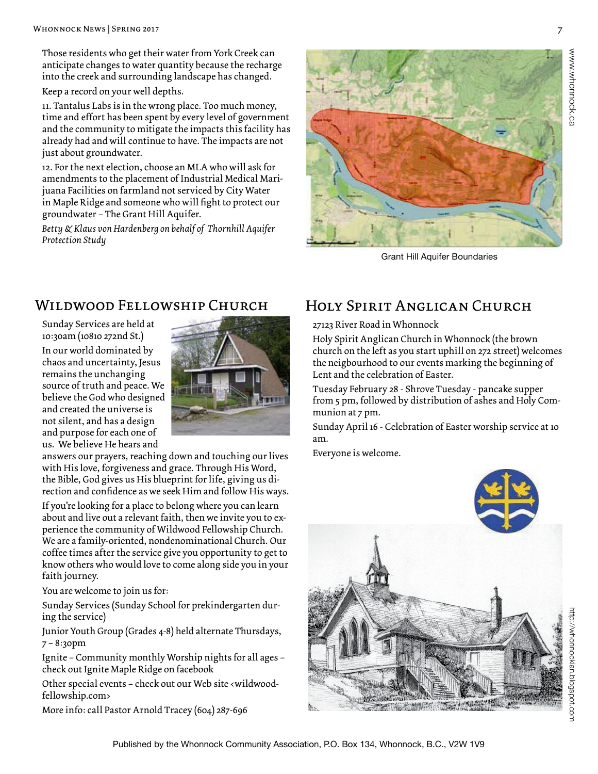Those residents who get their water from York Creek can anticipate changes to water quantity because the recharge into the creek and surrounding landscape has changed.

Keep a record on your well depths.

11. Tantalus Labs is in the wrong place. Too much money, time and effort has been spent by every level of government and the community to mitigate the impacts this facility has already had and will continue to have. The impacts are not just about groundwater.

12. For the next election, choose an MLA who will ask for amendments to the placement of Industrial Medical Marijuana Facilities on farmland not serviced by City Water in Maple Ridge and someone who will fight to protect our groundwater – The Grant Hill Aquifer.

*Betty & Klaus von Hardenberg on behalf of Thornhill Aquifer Protection Study* 



Grant Hill Aquifer Boundaries

### Wildwood Fellowship Church

Sunday Services are held at 10:30am (10810 272nd St.) In our world dominated by chaos and uncertainty, Jesus remains the unchanging source of truth and peace. We believe the God who designed and created the universe is not silent, and has a design and purpose for each one of us. We believe He hears and



answers our prayers, reaching down and touching our lives with His love, forgiveness and grace. Through His Word, the Bible, God gives us His blueprint for life, giving us direction and confidence as we seek Him and follow His ways.

If you're looking for a place to belong where you can learn about and live out a relevant faith, then we invite you to experience the community of Wildwood Fellowship Church. We are a family-oriented, nondenominational Church. Our coffee times after the service give you opportunity to get to know others who would love to come along side you in your faith journey.

You are welcome to join us for:

Sunday Services (Sunday School for prekindergarten during the service)

Junior Youth Group (Grades 4-8) held alternate Thursdays, 7 – 8:30pm

Ignite – Community monthly Worship nights for all ages – check out Ignite Maple Ridge on facebook

Other special events – check out our Web site <wildwoodfellowship.com>

More info: call Pastor Arnold Tracey (604) 287-696

## Holy Spirit Anglican Church

27123 River Road in Whonnock

Holy Spirit Anglican Church in Whonnock (the brown church on the left as you start uphill on 272 street) welcomes the neigbourhood to our events marking the beginning of Lent and the celebration of Easter.

Tuesday February 28 - Shrove Tuesday - pancake supper from 5 pm, followed by distribution of ashes and Holy Communion at 7 pm.

Sunday April 16 - Celebration of Easter worship service at 10 am.

Everyone is welcome.



http://whonnockian.blogspot.com ttp://whonnockian.blogspot.com